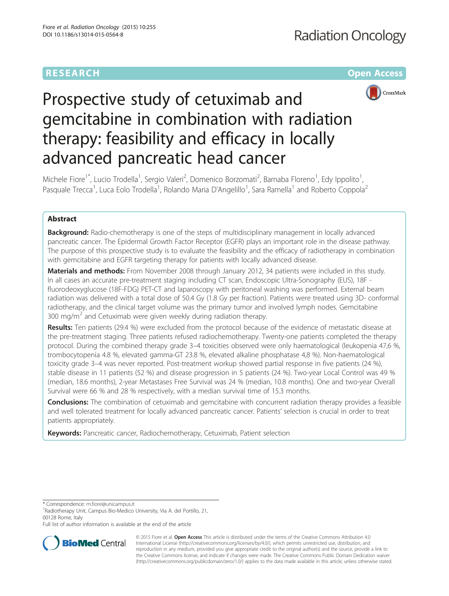## RESEARCH **RESEARCH CONSUMING THE CONSUMING THE CONSUMING THE CONSUMING TEAM Open Access**



# Prospective study of cetuximab and gemcitabine in combination with radiation therapy: feasibility and efficacy in locally advanced pancreatic head cancer

Michele Fiore<sup>1\*</sup>, Lucio Trodella<sup>1</sup>, Sergio Valeri<sup>2</sup>, Domenico Borzomati<sup>2</sup>, Barnaba Floreno<sup>1</sup>, Edy Ippolito<sup>1</sup> , Pasquale Trecca<sup>1</sup>, Luca Eolo Trodella<sup>1</sup>, Rolando Maria D'Angelillo<sup>1</sup>, Sara Ramella<sup>1</sup> and Roberto Coppola<sup>2</sup>

## Abstract

**Background:** Radio-chemotherapy is one of the steps of multidisciplinary management in locally advanced pancreatic cancer. The Epidermal Growth Factor Receptor (EGFR) plays an important role in the disease pathway. The purpose of this prospective study is to evaluate the feasibility and the efficacy of radiotherapy in combination with gemcitabine and EGFR targeting therapy for patients with locally advanced disease.

Materials and methods: From November 2008 through January 2012, 34 patients were included in this study. In all cases an accurate pre-treatment staging including CT scan, Endoscopic Ultra-Sonography (EUS), 18F fluorodeoxyglucose (18F-FDG) PET-CT and laparoscopy with peritoneal washing was performed. External beam radiation was delivered with a total dose of 50.4 Gy (1.8 Gy per fraction). Patients were treated using 3D- conformal radiotherapy, and the clinical target volume was the primary tumor and involved lymph nodes. Gemcitabine 300 mg/ $m^2$  and Cetuximab were given weekly during radiation therapy.

Results: Ten patients (29.4 %) were excluded from the protocol because of the evidence of metastatic disease at the pre-treatment staging. Three patients refused radiochemotherapy. Twenty-one patients completed the therapy protocol. During the combined therapy grade 3–4 toxicities observed were only haematological (leukopenia 47,6 %, trombocytopenia 4.8 %, elevated gamma-GT 23.8 %, elevated alkaline phosphatase 4,8 %). Non-haematological toxicity grade 3–4 was never reported. Post-treatment workup showed partial response in five patients (24 %), stable disease in 11 patients (52 %) and disease progression in 5 patients (24 %). Two-year Local Control was 49 % (median, 18.6 months), 2-year Metastases Free Survival was 24 % (median, 10.8 months). One and two-year Overall Survival were 66 % and 28 % respectively, with a median survival time of 15.3 months.

Conclusions: The combination of cetuximab and gemcitabine with concurrent radiation therapy provides a feasible and well tolerated treatment for locally advanced pancreatic cancer. Patients' selection is crucial in order to treat patients appropriately.

**Keywords:** Pancreatic cancer, Radiochemotherapy, Cetuximab, Patient selection

\* Correspondence: [m.fiore@unicampus.it](mailto:m.fiore@unicampus.it) <sup>1</sup>

Radiotherapy Unit, Campus Bio-Medico University, Via A. del Portillo, 21, 00128 Rome, Italy

Full list of author information is available at the end of the article



© 2015 Fiore et al. Open Access This article is distributed under the terms of the Creative Commons Attribution 4.0 International License [\(http://creativecommons.org/licenses/by/4.0/](http://creativecommons.org/licenses/by/4.0/)), which permits unrestricted use, distribution, and reproduction in any medium, provided you give appropriate credit to the original author(s) and the source, provide a link to the Creative Commons license, and indicate if changes were made. The Creative Commons Public Domain Dedication waiver [\(http://creativecommons.org/publicdomain/zero/1.0/](http://creativecommons.org/publicdomain/zero/1.0/)) applies to the data made available in this article, unless otherwise stated.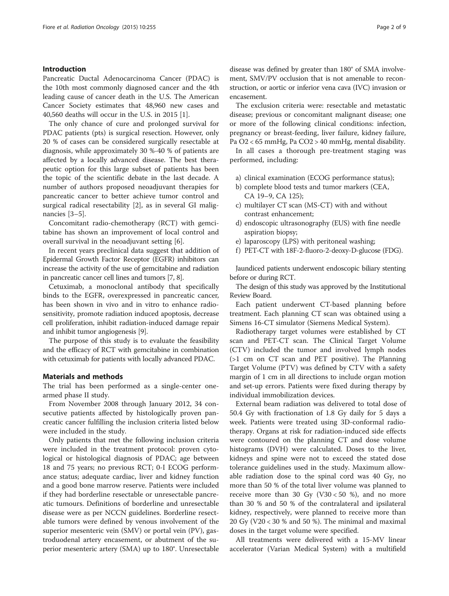## Introduction

Pancreatic Ductal Adenocarcinoma Cancer (PDAC) is the 10th most commonly diagnosed cancer and the 4th leading cause of cancer death in the U.S. The American Cancer Society estimates that 48,960 new cases and 40,560 deaths will occur in the U.S. in 2015 [[1\]](#page-7-0).

The only chance of cure and prolonged survival for PDAC patients (pts) is surgical resection. However, only 20 % of cases can be considered surgically resectable at diagnosis, while approximately 30 %-40 % of patients are affected by a locally advanced disease. The best therapeutic option for this large subset of patients has been the topic of the scientific debate in the last decade. A number of authors proposed neoadjuvant therapies for pancreatic cancer to better achieve tumor control and surgical radical resectability [\[2](#page-7-0)], as in several GI malignancies [\[3](#page-7-0)–[5\]](#page-7-0).

Concomitant radio-chemotherapy (RCT) with gemcitabine has shown an improvement of local control and overall survival in the neoadjuvant setting [\[6](#page-7-0)].

In recent years preclinical data suggest that addition of Epidermal Growth Factor Receptor (EGFR) inhibitors can increase the activity of the use of gemcitabine and radiation in pancreatic cancer cell lines and tumors [\[7, 8\]](#page-7-0).

Cetuximab, a monoclonal antibody that specifically binds to the EGFR, overexpressed in pancreatic cancer, has been shown in vivo and in vitro to enhance radiosensitivity, promote radiation induced apoptosis, decrease cell proliferation, inhibit radiation-induced damage repair and inhibit tumor angiogenesis [\[9](#page-7-0)].

The purpose of this study is to evaluate the feasibility and the efficacy of RCT with gemcitabine in combination with cetuximab for patients with locally advanced PDAC.

## Materials and methods

The trial has been performed as a single-center onearmed phase II study.

From November 2008 through January 2012, 34 consecutive patients affected by histologically proven pancreatic cancer fulfilling the inclusion criteria listed below were included in the study.

Only patients that met the following inclusion criteria were included in the treatment protocol: proven cytological or histological diagnosis of PDAC; age between 18 and 75 years; no previous RCT; 0-I ECOG performance status; adequate cardiac, liver and kidney function and a good bone marrow reserve. Patients were included if they had borderline resectable or unresectable pancreatic tumours. Definitions of borderline and unresectable disease were as per NCCN guidelines. Borderline resectable tumors were defined by venous involvement of the superior mesenteric vein (SMV) or portal vein (PV), gastroduodenal artery encasement, or abutment of the superior mesenteric artery (SMA) up to 180°. Unresectable disease was defined by greater than 180° of SMA involvement, SMV/PV occlusion that is not amenable to reconstruction, or aortic or inferior vena cava (IVC) invasion or encasement.

The exclusion criteria were: resectable and metastatic disease; previous or concomitant malignant disease; one or more of the following clinical conditions: infection, pregnancy or breast-feeding, liver failure, kidney failure, Pa O2 < 65 mmHg, Pa CO2 > 40 mmHg, mental disability.

In all cases a thorough pre-treatment staging was performed, including:

- a) clinical examination (ECOG performance status);
- b) complete blood tests and tumor markers (CEA, CA 19–9, CA 125);
- c) multilayer CT scan (MS-CT) with and without contrast enhancement;
- d) endoscopic ultrasonography (EUS) with fine needle aspiration biopsy;
- e) laparoscopy (LPS) with peritoneal washing;
- f) PET-CT with 18F-2-fluoro-2-deoxy-D-glucose (FDG).

Jaundiced patients underwent endoscopic biliary stenting before or during RCT.

The design of this study was approved by the Institutional Review Board.

Each patient underwent CT-based planning before treatment. Each planning CT scan was obtained using a Simens 16-CT simulator (Siemens Medical System).

Radiotherapy target volumes were established by CT scan and PET-CT scan. The Clinical Target Volume (CTV) included the tumor and involved lymph nodes (>1 cm on CT scan and PET positive). The Planning Target Volume (PTV) was defined by CTV with a safety margin of 1 cm in all directions to include organ motion and set-up errors. Patients were fixed during therapy by individual immobilization devices.

External beam radiation was delivered to total dose of 50.4 Gy with fractionation of 1.8 Gy daily for 5 days a week. Patients were treated using 3D-conformal radiotherapy. Organs at risk for radiation-induced side effects were contoured on the planning CT and dose volume histograms (DVH) were calculated. Doses to the liver, kidneys and spine were not to exceed the stated dose tolerance guidelines used in the study. Maximum allowable radiation dose to the spinal cord was 40 Gy, no more than 50 % of the total liver volume was planned to receive more than 30 Gy  $(V30 < 50$  %), and no more than 30 % and 50 % of the contralateral and ipsilateral kidney, respectively, were planned to receive more than 20 Gy (V20 < 30 % and 50 %). The minimal and maximal doses in the target volume were specified.

All treatments were delivered with a 15-MV linear accelerator (Varian Medical System) with a multifield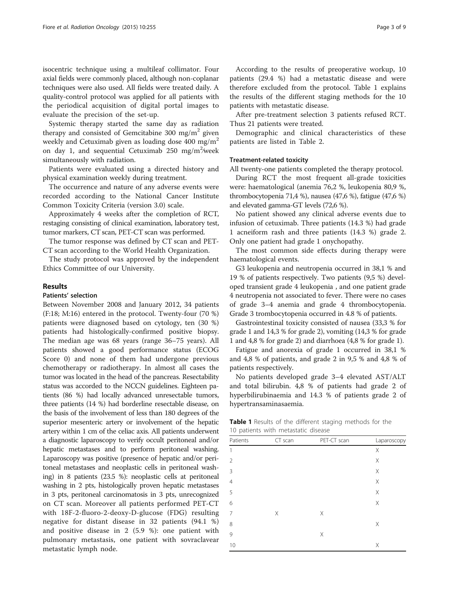isocentric technique using a multileaf collimator. Four axial fields were commonly placed, although non-coplanar techniques were also used. All fields were treated daily. A quality-control protocol was applied for all patients with the periodical acquisition of digital portal images to evaluate the precision of the set-up.

Systemic therapy started the same day as radiation therapy and consisted of Gemcitabine 300 mg/m<sup>2</sup> given weekly and Cetuximab given as loading dose  $400 \text{ mg/m}^2$ on day 1, and sequential Cetuximab 250 mg/m<sup>2</sup>/week simultaneously with radiation.

Patients were evaluated using a directed history and physical examination weekly during treatment.

The occurrence and nature of any adverse events were recorded according to the National Cancer Institute Common Toxicity Criteria (version 3.0) scale.

Approximately 4 weeks after the completion of RCT, restaging consisting of clinical examination, laboratory test, tumor markers, CT scan, PET-CT scan was performed.

The tumor response was defined by CT scan and PET-CT scan according to the World Health Organization.

The study protocol was approved by the independent Ethics Committee of our University.

## Results

### Patients' selection

Between November 2008 and January 2012, 34 patients (F:18; M:16) entered in the protocol. Twenty-four (70 %) patients were diagnosed based on cytology, ten (30 %) patients had histologically-confirmed positive biopsy. The median age was 68 years (range 36–75 years). All patients showed a good performance status (ECOG Score 0) and none of them had undergone previous chemotherapy or radiotherapy. In almost all cases the tumor was located in the head of the pancreas. Resectability status was accorded to the NCCN guidelines. Eighteen patients (86 %) had locally advanced unresectable tumors, three patients (14 %) had borderline resectable disease, on the basis of the involvement of less than 180 degrees of the superior mesenteric artery or involvement of the hepatic artery within 1 cm of the celiac axis. All patients underwent a diagnostic laparoscopy to verify occult peritoneal and/or hepatic metastases and to perform peritoneal washing. Laparoscopy was positive (presence of hepatic and/or peritoneal metastases and neoplastic cells in peritoneal washing) in 8 patients (23.5 %): neoplastic cells at peritoneal washing in 2 pts, histologically proven hepatic metastases in 3 pts, peritoneal carcinomatosis in 3 pts, unrecognized on CT scan. Moreover all patients performed PET-CT with 18F-2-fluoro-2-deoxy-D-glucose (FDG) resulting negative for distant disease in 32 patients (94.1 %) and positive disease in 2 (5.9 %): one patient with pulmonary metastasis, one patient with sovraclavear metastatic lymph node.

According to the results of preoperative workup, 10 patients (29.4 %) had a metastatic disease and were therefore excluded from the protocol. Table 1 explains the results of the different staging methods for the 10 patients with metastatic disease.

After pre-treatment selection 3 patients refused RCT. Thus 21 patients were treated.

Demographic and clinical characteristics of these patients are listed in Table [2.](#page-3-0)

### Treatment-related toxicity

All twenty-one patients completed the therapy protocol.

During RCT the most frequent all-grade toxicities were: haematological (anemia 76,2 %, leukopenia 80,9 %, thrombocytopenia 71,4 %), nausea (47,6 %), fatigue (47,6 %) and elevated gamma-GT levels (72,6 %).

No patient showed any clinical adverse events due to infusion of cetuximab. Three patients (14.3 %) had grade 1 acneiform rash and three patients (14.3 %) grade 2. Only one patient had grade 1 onychopathy.

The most common side effects during therapy were haematological events.

G3 leukopenia and neutropenia occurred in 38,1 % and 19 % of patients respectively. Two patients (9,5 %) developed transient grade 4 leukopenia , and one patient grade 4 neutropenia not associated to fever. There were no cases of grade 3–4 anemia and grade 4 thrombocytopenia. Grade 3 trombocytopenia occurred in 4.8 % of patients.

Gastrointestinal toxicity consisted of nausea (33,3 % for grade 1 and 14,3 % for grade 2), vomiting (14,3 % for grade 1 and 4,8 % for grade 2) and diarrhoea (4,8 % for grade 1).

Fatigue and anorexia of grade 1 occurred in 38,1 % and 4,8 % of patients, and grade 2 in 9,5 % and 4,8 % of patients respectively.

No patients developed grade 3–4 elevated AST/ALT and total bilirubin. 4,8 % of patients had grade 2 of hyperbilirubinaemia and 14.3 % of patients grade 2 of hypertransaminasaemia.

|  |  |  |                                     |  | Table 1 Results of the different staging methods for the |  |
|--|--|--|-------------------------------------|--|----------------------------------------------------------|--|
|  |  |  | 10 patients with metastatic disease |  |                                                          |  |

| Patients | CT scan | PET-CT scan | Laparoscopy |
|----------|---------|-------------|-------------|
| 1        |         |             | X           |
| 2        |         |             | Χ           |
| 3        |         |             | Χ           |
| 4        |         |             | Χ           |
| 5        |         |             | Χ           |
| 6        |         |             | Χ           |
| 7        | X       | X           |             |
| 8        |         |             | Χ           |
| 9        |         | X           |             |
| 10       |         |             | X           |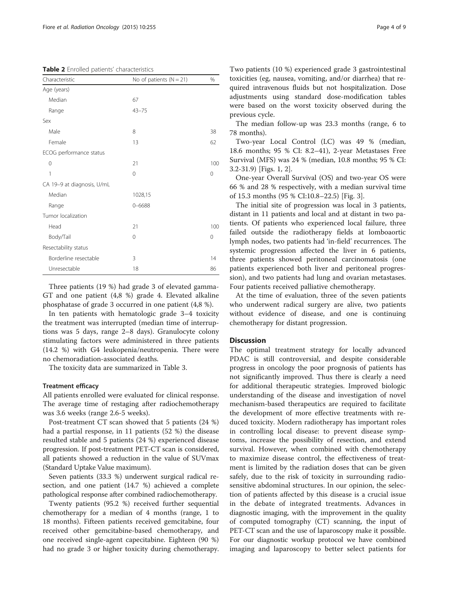<span id="page-3-0"></span>Table 2 Enrolled patients' characteristics

| Characteristic             | No of patients $(N = 21)$ | $\%$ |
|----------------------------|---------------------------|------|
| Age (years)                |                           |      |
| Median                     | 67                        |      |
| Range                      | $43 - 75$                 |      |
| Sex                        |                           |      |
| Male                       | 8                         | 38   |
| Female                     | 13                        | 62   |
| ECOG performance status    |                           |      |
| 0                          | 21                        | 100  |
| 1                          | 0                         | 0    |
| CA 19-9 at diagnosis, U/mL |                           |      |
| Median                     | 1028,15                   |      |
| Range                      | $0 - 6688$                |      |
| Tumor localization         |                           |      |
| Head                       | 21                        | 100  |
| Body/Tail                  | 0                         | 0    |
| Resectability status       |                           |      |
| Borderline resectable      | 3                         | 14   |
| Unresectable               | 18                        | 86   |

Three patients (19 %) had grade 3 of elevated gamma-GT and one patient (4,8 %) grade 4. Elevated alkaline phosphatase of grade 3 occurred in one patient (4,8 %).

In ten patients with hematologic grade 3–4 toxicity the treatment was interrupted (median time of interruptions was 5 days, range 2–8 days). Granulocyte colony stimulating factors were administered in three patients (14.2 %) with G4 leukopenia/neutropenia. There were no chemoradiation-associated deaths.

The toxicity data are summarized in Table [3](#page-4-0).

## Treatment efficacy

All patients enrolled were evaluated for clinical response. The average time of restaging after radiochemotherapy was 3.6 weeks (range 2.6-5 weeks).

Post-treatment CT scan showed that 5 patients (24 %) had a partial response, in 11 patients (52 %) the disease resulted stable and 5 patients (24 %) experienced disease progression. If post-treatment PET-CT scan is considered, all patients showed a reduction in the value of SUVmax (Standard Uptake Value maximum).

Seven patients (33.3 %) underwent surgical radical resection, and one patient (14.7 %) achieved a complete pathological response after combined radiochemotherapy.

Twenty patients (95.2 %) received further sequential chemotherapy for a median of 4 months (range, 1 to 18 months). Fifteen patients received gemcitabine, four received other gemcitabine-based chemotherapy, and one received single-agent capecitabine. Eighteen (90 %) had no grade 3 or higher toxicity during chemotherapy. Two patients (10 %) experienced grade 3 gastrointestinal toxicities (eg, nausea, vomiting, and/or diarrhea) that required intravenous fluids but not hospitalization. Dose adjustments using standard dose-modification tables were based on the worst toxicity observed during the previous cycle.

The median follow-up was 23.3 months (range, 6 to 78 months).

Two-year Local Control (LC) was 49 % (median, 18.6 months; 95 % CI: 8.2–41), 2-year Metastases Free Survival (MFS) was 24 % (median, 10.8 months; 95 % CI: 3.2-31.9) [Figs. [1, 2\]](#page-4-0).

One-year Overall Survival (OS) and two-year OS were 66 % and 28 % respectively, with a median survival time of 15.3 months (95 % CI:10.8–22.5) [Fig. [3](#page-5-0)].

The initial site of progression was local in 3 patients, distant in 11 patients and local and at distant in two patients. Of patients who experienced local failure, three failed outside the radiotherapy fields at lomboaortic lymph nodes, two patients had 'in-field' recurrences. The systemic progression affected the liver in 6 patients, three patients showed peritoneal carcinomatosis (one patients experienced both liver and peritoneal progression), and two patients had lung and ovarian metastases. Four patients received palliative chemotherapy.

At the time of evaluation, three of the seven patients who underwent radical surgery are alive, two patients without evidence of disease, and one is continuing chemotherapy for distant progression.

## **Discussion**

The optimal treatment strategy for locally advanced PDAC is still controversial, and despite considerable progress in oncology the poor prognosis of patients has not significantly improved. Thus there is clearly a need for additional therapeutic strategies. Improved biologic understanding of the disease and investigation of novel mechanism-based therapeutics are required to facilitate the development of more effective treatments with reduced toxicity. Modern radiotherapy has important roles in controlling local disease: to prevent disease symptoms, increase the possibility of resection, and extend survival. However, when combined with chemotherapy to maximize disease control, the effectiveness of treatment is limited by the radiation doses that can be given safely, due to the risk of toxicity in surrounding radiosensitive abdominal structures. In our opinion, the selection of patients affected by this disease is a crucial issue in the debate of integrated treatments. Advances in diagnostic imaging, with the improvement in the quality of computed tomography (CT) scanning, the input of PET-CT scan and the use of laparoscopy make it possible. For our diagnostic workup protocol we have combined imaging and laparoscopy to better select patients for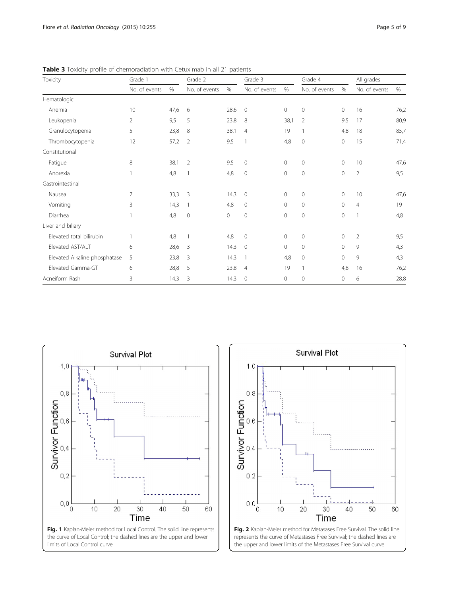| Toxicity                      | Grade 1        |      | Grade 2        |             | Grade 3        |              | Grade 4       |              | All grades     |      |
|-------------------------------|----------------|------|----------------|-------------|----------------|--------------|---------------|--------------|----------------|------|
|                               | No. of events  | $\%$ | No. of events  | %           | No. of events  | %            | No. of events | $\%$         | No. of events  | $\%$ |
| Hematologic                   |                |      |                |             |                |              |               |              |                |      |
| Anemia                        | 10             | 47,6 | 6              | 28,6        | $\mathbf 0$    | 0            | 0             | $\mathbf{0}$ | 16             | 76,2 |
| Leukopenia                    | $\overline{2}$ | 9,5  | 5              | 23,8        | 8              | 38,1         | 2             | 9,5          | 17             | 80,9 |
| Granulocytopenia              | 5              | 23,8 | 8              | 38,1        | $\overline{4}$ | 19           |               | 4,8          | 18             | 85,7 |
| Thrombocytopenia              | 12             | 57,2 | 2              | 9,5         | 1              | 4,8          | $\circ$       | $\mathbf{0}$ | 15             | 71,4 |
| Constitutional                |                |      |                |             |                |              |               |              |                |      |
| Fatigue                       | 8              | 38,1 | $\overline{2}$ | 9,5         | $\mathbf{0}$   | $\mathbf{0}$ | $\circ$       | $\mathbf{0}$ | 10             | 47,6 |
| Anorexia                      | $\mathbf{1}$   | 4,8  | $\mathbf{1}$   | 4,8         | $\mathbf{0}$   | $\mathbf{0}$ | $\circ$       | $\mathbf{0}$ | $\overline{2}$ | 9,5  |
| Gastrointestinal              |                |      |                |             |                |              |               |              |                |      |
| Nausea                        | 7              | 33,3 | 3              | 14,3        | $\mathbf{0}$   | $\mathbf{0}$ | $\mathbf{0}$  | $\mathbf{0}$ | 10             | 47,6 |
| Vomiting                      | 3              | 14,3 | 1              | 4,8         | $\mathbf{0}$   | $\mathbf{0}$ | $\circ$       | $\mathbf{0}$ | $\overline{4}$ | 19   |
| Diarrhea                      |                | 4,8  | $\mathbf 0$    | $\mathbf 0$ | $\mathbf{0}$   | $\mathbf{0}$ | $\mathbf 0$   | $\mathbf{0}$ |                | 4,8  |
| Liver and biliary             |                |      |                |             |                |              |               |              |                |      |
| Elevated total bilirubin      | $\mathbf{1}$   | 4,8  |                | 4,8         | $\mathbf{0}$   | $\mathbf{0}$ | $\circ$       | $\circ$      | $\overline{2}$ | 9,5  |
| Elevated AST/ALT              | 6              | 28,6 | 3              | 14,3        | $\mathbf{0}$   | $\mathbf{0}$ | $\circ$       | $\circ$      | 9              | 4,3  |
| Elevated Alkaline phosphatase | 5              | 23,8 | 3              | 14,3        |                | 4,8          | $\circ$       | $\mathbf{0}$ | 9              | 4,3  |
| Elevated Gamma-GT             | 6              | 28,8 | 5              | 23,8        | $\overline{4}$ | 19           |               | 4,8          | 16             | 76,2 |
| Acneiform Rash                | 3              | 14,3 | 3              | 14,3        | $\mathbf{0}$   | 0            | $\mathbf 0$   | $\mathbf{0}$ | 6              | 28,8 |

<span id="page-4-0"></span>Table 3 Toxicity profile of chemoradiation with Cetuximab in all 21 patients





the upper and lower limits of the Metastases Free Survival curve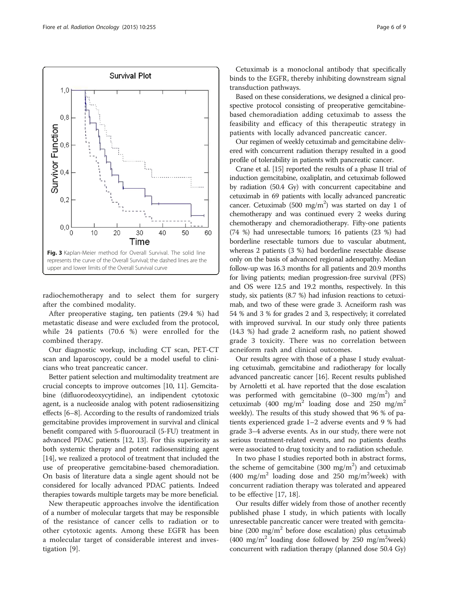<span id="page-5-0"></span>

radiochemotherapy and to select them for surgery after the combined modality.

After preoperative staging, ten patients (29.4 %) had metastatic disease and were excluded from the protocol, while 24 patients (70.6 %) were enrolled for the combined therapy.

Our diagnostic workup, including CT scan, PET-CT scan and laparoscopy, could be a model useful to clinicians who treat pancreatic cancer.

Better patient selection and multimodality treatment are crucial concepts to improve outcomes [[10](#page-7-0), [11\]](#page-7-0). Gemcitabine (difluorodeoxycytidine), an indipendent cytotoxic agent, is a nucleoside analog with potent radiosensitizing effects [[6](#page-7-0)–[8](#page-7-0)]. According to the results of randomized trials gemcitabine provides improvement in survival and clinical benefit compared with 5-fluorouracil (5-FU) treatment in advanced PDAC patients [[12](#page-7-0), [13\]](#page-7-0). For this superiority as both systemic therapy and potent radiosensitizing agent [[14](#page-7-0)], we realized a protocol of treatment that included the use of preoperative gemcitabine-based chemoradiation. On basis of literature data a single agent should not be considered for locally advanced PDAC patients. Indeed therapies towards multiple targets may be more beneficial.

New therapeutic approaches involve the identification of a number of molecular targets that may be responsible of the resistance of cancer cells to radiation or to other cytotoxic agents. Among these EGFR has been a molecular target of considerable interest and investigation [[9\]](#page-7-0).

Cetuximab is a monoclonal antibody that specifically binds to the EGFR, thereby inhibiting downstream signal transduction pathways.

Based on these considerations, we designed a clinical prospective protocol consisting of preoperative gemcitabinebased chemoradiation adding cetuximab to assess the feasibility and efficacy of this therapeutic strategy in patients with locally advanced pancreatic cancer.

Our regimen of weekly cetuximab and gemcitabine delivered with concurrent radiation therapy resulted in a good profile of tolerability in patients with pancreatic cancer.

Crane et al. [\[15\]](#page-7-0) reported the results of a phase II trial of induction gemcitabine, oxaliplatin, and cetuximab followed by radiation (50.4 Gy) with concurrent capecitabine and cetuximab in 69 patients with locally advanced pancreatic cancer. Cetuximab (500 mg/m<sup>2</sup>) was started on day 1 of chemotherapy and was continued every 2 weeks during chemotherapy and chemoradiotherapy. Fifty-one patients (74 %) had unresectable tumors; 16 patients (23 %) had borderline resectable tumors due to vascular abutment, whereas 2 patients (3 %) had borderline resectable disease only on the basis of advanced regional adenopathy. Median follow-up was 16.3 months for all patients and 20.9 months for living patients; median progression-free survival (PFS) and OS were 12.5 and 19.2 months, respectively. In this study, six patients (8.7 %) had infusion reactions to cetuximab, and two of these were grade 3. Acneiform rash was 54 % and 3 % for grades 2 and 3, respectively; it correlated with improved survival. In our study only three patients (14.3 %) had grade 2 acneiform rash, no patient showed grade 3 toxicity. There was no correlation between acneiform rash and clinical outcomes.

Our results agree with those of a phase I study evaluating cetuximab, gemcitabine and radiotherapy for locally advanced pancreatic cancer [\[16](#page-7-0)]. Recent results published by Arnoletti et al. have reported that the dose escalation was performed with gemcitabine  $(0-300 \text{ mg/m}^2)$  and cetuximab (400 mg/m<sup>2</sup> loading dose and 250 mg/m<sup>2</sup> weekly). The results of this study showed that 96 % of patients experienced grade 1–2 adverse events and 9 % had grade 3–4 adverse events. As in our study, there were not serious treatment-related events, and no patients deaths were associated to drug toxicity and to radiation schedule.

In two phase I studies reported both in abstract forms, the scheme of gemcitabine  $(300 \text{ mg/m}^2)$  and cetuximab (400 mg/m<sup>2</sup> loading dose and 250 mg/m<sup>2</sup>/week) with concurrent radiation therapy was tolerated and appeared to be effective [\[17, 18\]](#page-7-0).

Our results differ widely from those of another recently published phase I study, in which patients with locally unresectable pancreatic cancer were treated with gemcitabine (200 mg/m<sup>2</sup> before dose escalation) plus cetuximab (400 mg/m<sup>2</sup> loading dose followed by 250 mg/m<sup>2</sup>/week) concurrent with radiation therapy (planned dose 50.4 Gy)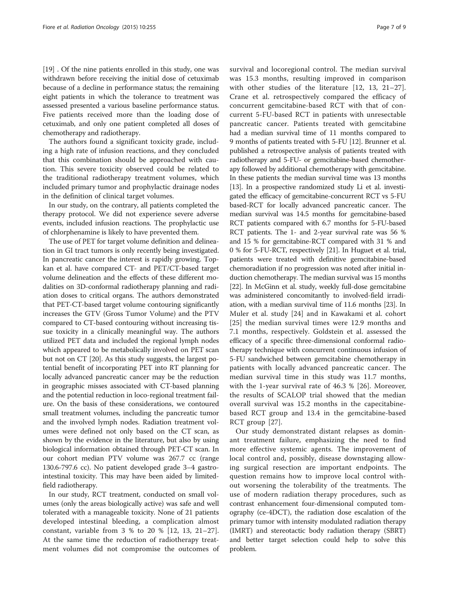[[19](#page-7-0)] . Of the nine patients enrolled in this study, one was withdrawn before receiving the initial dose of cetuximab because of a decline in performance status; the remaining eight patients in which the tolerance to treatment was assessed presented a various baseline performance status. Five patients received more than the loading dose of cetuximab, and only one patient completed all doses of chemotherapy and radiotherapy.

The authors found a significant toxicity grade, including a high rate of infusion reactions, and they concluded that this combination should be approached with caution. This severe toxicity observed could be related to the traditional radiotherapy treatment volumes, which included primary tumor and prophylactic drainage nodes in the definition of clinical target volumes.

In our study, on the contrary, all patients completed the therapy protocol. We did not experience severe adverse events, included infusion reactions. The prophylactic use of chlorphenamine is likely to have prevented them.

The use of PET for target volume definition and delineation in GI tract tumors is only recently being investigated. In pancreatic cancer the interest is rapidly growing. Topkan et al. have compared CT- and PET/CT-based target volume delineation and the effects of these different modalities on 3D-conformal radiotherapy planning and radiation doses to critical organs. The authors demonstrated that PET-CT-based target volume contouring significantly increases the GTV (Gross Tumor Volume) and the PTV compared to CT-based contouring without increasing tissue toxicity in a clinically meaningful way. The authors utilized PET data and included the regional lymph nodes which appeared to be metabolically involved on PET scan but not on CT [[20](#page-7-0)]. As this study suggests, the largest potential benefit of incorporating PET into RT planning for locally advanced pancreatic cancer may be the reduction in geographic misses associated with CT-based planning and the potential reduction in loco-regional treatment failure. On the basis of these considerations, we contoured small treatment volumes, including the pancreatic tumor and the involved lymph nodes. Radiation treatment volumes were defined not only based on the CT scan, as shown by the evidence in the literature, but also by using biological information obtained through PET-CT scan. In our cohort median PTV volume was 267.7 cc (range 130.6-797.6 cc). No patient developed grade 3–4 gastrointestinal toxicity. This may have been aided by limitedfield radiotherapy.

In our study, RCT treatment, conducted on small volumes (only the areas biologically active) was safe and well tolerated with a manageable toxicity. None of 21 patients developed intestinal bleeding, a complication almost constant, variable from 3 % to 20 % [\[12](#page-7-0), [13](#page-7-0), [21](#page-7-0)–[27](#page-8-0)]. At the same time the reduction of radiotherapy treatment volumes did not compromise the outcomes of survival and locoregional control. The median survival was 15.3 months, resulting improved in comparison with other studies of the literature [\[12](#page-7-0), [13](#page-7-0), [21](#page-7-0)–[27](#page-8-0)]. Crane et al. retrospectively compared the efficacy of concurrent gemcitabine-based RCT with that of concurrent 5-FU-based RCT in patients with unresectable pancreatic cancer. Patients treated with gemcitabine had a median survival time of 11 months compared to 9 months of patients treated with 5-FU [[12](#page-7-0)]. Brunner et al. published a retrospective analysis of patients treated with radiotherapy and 5-FU- or gemcitabine-based chemotherapy followed by additional chemotherapy with gemcitabine. In these patients the median survival time was 13 months [[13](#page-7-0)]. In a prospective randomized study Li et al. investigated the efficacy of gemcitabine-concurrent RCT vs 5-FU based-RCT for locally advanced pancreatic cancer. The median survival was 14.5 months for gemcitabine-based RCT patients compared with 6.7 months for 5-FU-based RCT patients. The 1- and 2-year survival rate was 56 % and 15 % for gemcitabine-RCT compared with 31 % and 0 % for 5-FU-RCT, respectively [\[21\]](#page-7-0). In Huguet et al. trial, patients were treated with definitive gemcitabine-based chemoradiation if no progression was noted after initial induction chemotherapy. The median survival was 15 months [[22](#page-7-0)]. In McGinn et al. study, weekly full-dose gemcitabine was administered concomitantly to involved-field irradiation, with a median survival time of 11.6 months [\[23\]](#page-8-0). In Muler et al. study [[24\]](#page-8-0) and in Kawakami et al. cohort [[25\]](#page-8-0) the median survival times were 12.9 months and 7.1 months, respectively. Goldstein et al. assessed the efficacy of a specific three-dimensional conformal radiotherapy technique with concurrent continuous infusion of 5-FU sandwiched between gemcitabine chemotherapy in patients with locally advanced pancreatic cancer. The median survival time in this study was 11.7 months, with the 1-year survival rate of 46.3 % [[26](#page-8-0)]. Moreover, the results of SCALOP trial showed that the median overall survival was 15.2 months in the capecitabinebased RCT group and 13.4 in the gemcitabine-based RCT group [\[27](#page-8-0)].

Our study demonstrated distant relapses as dominant treatment failure, emphasizing the need to find more effective systemic agents. The improvement of local control and, possibly, disease downstaging allowing surgical resection are important endpoints. The question remains how to improve local control without worsening the tolerability of the treatments. The use of modern radiation therapy procedures, such as contrast enhancement four-dimensional computed tomography (ce-4DCT), the radiation dose escalation of the primary tumor with intensity modulated radiation therapy (IMRT) and stereotactic body radiation therapy (SBRT) and better target selection could help to solve this problem.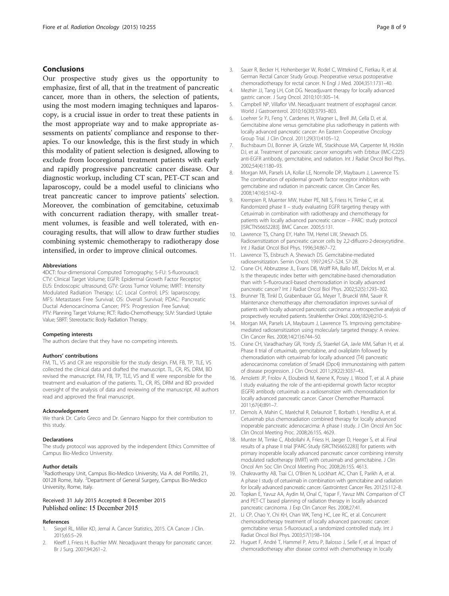## <span id="page-7-0"></span>**Conclusions**

Our prospective study gives us the opportunity to emphasize, first of all, that in the treatment of pancreatic cancer, more than in others, the selection of patients, using the most modern imaging techniques and laparoscopy, is a crucial issue in order to treat these patients in the most appropriate way and to make appropriate assessments on patients' compliance and response to therapies. To our knowledge, this is the first study in which this modality of patient selection is designed, allowing to exclude from locoregional treatment patients with early and rapidly progressive pancreatic cancer disease. Our diagnostic workup, including CT scan, PET-CT scan and laparoscopy, could be a model useful to clinicians who treat pancreatic cancer to improve patients' selection. Moreover, the combination of gemcitabine, cetuximab with concurrent radiation therapy, with smaller treatment volumes, is feasible and well tolerated, with encouraging results, that will allow to draw further studies combining systemic chemotherapy to radiotherapy dose intensified, in order to improve clinical outcomes.

#### Abbreviations

4DCT: four-dimensional Computed Tomography; 5-FU: 5-fluorouracil; CTV: Clinical Target Volume; EGFR: Epidermal Growth Factor Receptor; EUS: Endoscopic ultrasound; GTV: Gross Tumor Volume; IMRT: Intensity Modulated Radiation Therapy; LC: Local Control; LPS: laparoscopy; MFS: Metastases Free Survival; OS: Overall Survival; PDAC: Pancreatic Ductal Adenocarcinoma Cancer; PFS: Progression Free Survival; PTV: Planning Target Volume; RCT: Radio-Chemotherapy; SUV: Standard Uptake Value; SBRT: Stereotactic Body Radiation Therapy.

#### Competing interests

The authors declare that they have no competing interests.

#### Authors' contributions

FM, TL, VS and CR are responsible for the study design. FM, FB, TP, TLE, VS collected the clinical data and drafted the manuscript. TL, CR, RS, DRM, BD revised the manuscript. FM, FB, TP, TLE, VS and IE were responsible for the treatment and evaluation of the patients. TL, CR, RS, DRM and BD provided oversight of the analysis of data and reviewing of the manuscript. All authors read and approved the final manuscript.

#### Acknowledgement

We thank Dr. Carlo Greco and Dr. Gennaro Nappo for their contribution to this study.

### Declarations

The study protocol was approved by the independent Ethics Committee of Campus Bio-Medico University.

#### Author details

<sup>1</sup> Radiotherapy Unit, Campus Bio-Medico University, Via A. del Portillo, 21, 00128 Rome, Italy. <sup>2</sup>Department of General Surgery, Campus Bio-Medico University, Rome, Italy.

## Received: 31 July 2015 Accepted: 8 December 2015 Published online: 15 December 2015

#### References

- 1. Siegel RL, Miller KD, Jemal A. Cancer Statistics, 2015. CA Cancer J Clin. 2015;65:5–29.
- Kleeff J, Friess H, Buchler MW. Neoadjuvant therapy for pancreatic cancer. Br J Surg. 2007;94:261–2.
- 3. Sauer R, Becker H, Hohenberger W, Rodel C, Wittekind C, Fietkau R, et al. German Rectal Cancer Study Group. Preoperative versus postoperative chemoradiotherapy for rectal cancer. N Engl J Med. 2004;351:1731–40.
- 4. Mezhirr JJ, Tang LH, Coit DG. Neoadjuvant therapy for locally advanced gastric cancer. J Surg Oncol. 2010;101:305–14.
- 5. Campbell NP, Villaflor VM. Neoadjuvant treatment of esophageal cancer. World J Gastroenterol. 2010;16(30):3793–803.
- 6. Loehrer Sr PJ, Feng Y, Cardenes H, Wagner L, Brell JM, Cella D, et al. Gemcitabine alone versus gemcitabine plus radiotherapy in patients with locally advanced pancreatic cancer: An Eastern Cooperative Oncology Group Trial. J Clin Oncol. 2011;29(31):4105–12.
- 7. Buchsbaum DJ, Bonner JA, Grizzle WE, Stackhouse MA, Carpenter M, Hicklin DJ, et al. Treatment of pancreatic cancer xenografts with Erbitux (IMC-C225) anti-EGFR antibody, gemcitabine, and radiation. Int J Radiat Oncol Biol Phys. 2002;54(4):1180–93.
- 8. Morgan MA, Parsels LA, Kollar LE, Normolle DP, Maybaum J, Lawrence TS. The combination of epidermal growth factor receptor inhibitors with gemcitabine and radiation in pancreatic cancer. Clin Cancer Res. 2008;14(16):5142–9.
- 9. Krempien R, Muenter MW, Huber PE, Nill S, Friess H, Timke C, et al. Randomized phase II – study evaluating EGFR targeting therapy with Cetuximab in combination with radiotherapy and chemotherapy for patients with locally advanced pancreatic cancer – PARC: study protocol [ISRCTN56652283]. BMC Cancer. 2005;5:131.
- 10. Lawrence TS, Chang EY, Hahn TM, Hertel LW, Shewach DS. Radiosensitization of pancreatic cancer cells by 2,2-difluoro-2-deoxycytidine. Int J Radiat Oncol Biol Phys. 1996;34:867–72.
- 11. Lawrence TS, Eisbruch A, Shewach DS. Gemcitabine-mediated radiosensitization. Semin Oncol. 1997;24:S7–S24. S7-28.
- 12. Crane CH, Abbruzzese JL, Evans DB, Wolff RA, Ballo MT, Delclos M, et al. Is the therapeutic index better with gemcitabine-based chemoradiation than with 5–fluorouracil-based chemoradiation in locally advanced pancreatic cancer? Int J Radiat Oncol Biol Phys. 2002;52(5):1293–302.
- 13. Brunner TB, Tinkl D, Grabenbauer GG, Meyer T, Brueckl WM, Sauer R. Maintenance chemotherapy after chemoradiation improves survival of patients with locally advanced pancreatic carcinoma: a retrospective analysis of prospectively recruited patients. Strahlenther Onkol. 2006;182(4):210–5.
- 14. Morgan MA, Parsels LA, Maybaum J, Lawrence TS. Improving gemcitabinemediated radiosensitization using molecularly targeted therapy: A review. Clin Cancer Res. 2008;14(21):6744–50.
- 15. Crane CH, Varadhachary GR, Yordy JS, Staerkel GA, Javle MM, Safran H, et al. Phase II trial of cetuximab, gemcitabine, and oxaliplatin followed by chemoradiation with cetuximab for locally advanced (T4) pancreatic adenocarcinoma: correlation of Smad4 (Dpc4) immunostaining with pattern of disease progression. J Clin Oncol. 2011;29(22):3037–43.
- 16. Arnoletti JP, Frolov A, Eloubeidi M, Keene K, Posey J, Wood T, et al. A phase I study evaluating the role of the anti-epidermal growth factor receptor (EGFR) antibody cetuximab as a radiosensitizer with chemoradiation for locally advanced pancreatic cancer. Cancer Chemother Pharmacol. 2011;67(4):891–7.
- 17. Demols A, Mahin C, Maréchal R, Delaunoit T, Borbath I, Hendlisz A, et al. Cetuximab plus chemoradiation combined therapy for locally advanced inoperable pancreatic adenocarcima: A phase I study. J Clin Oncol Am Soc Clin Oncol Meeting Proc. 2008;26:15S. 4629.
- 18. Munter M, Timke C, Abdollahi A, Friess H, Jaeger D, Heeger S, et al. Final results of a phase II trial [PARC-Study ISRCTN56652283] for patients with primary inoperable locally advanced pancreatic cancer combining intensity modulated radiotherapy (IMRT) with cetuximab and gemcitabine. J Clin Oncol Am Soc Clin Oncol Meeting Proc. 2008;26:15S. 4613.
- 19. Chakravarthy AB, Tsai CJ, O'Brien N, Lockhart AC, Chan E, Parikh A, et al. A phase I study of cetuximab in combination with gemcitabine and radiation for locally advanced pancreatic cancer. Gastrointest Cancer Res. 2012;5:112–8.
- 20. Topkan E, Yavuz AA, Aydin M, Onal C, Yapar F, Yavuz MN. Comparison of CT and PET-CT based planning of radiation therapy in locally advanced pancreatic carcinoma. J Exp Clin Cancer Res. 2008;27:41.
- 21. Li CP, Chao Y, Chi KH, Chan WK, Teng HC, Lee RC, et al. Concurrent chemoradiotherapy treatment of locally advanced pancreatic cancer: gemcitabine versus 5-fluorouracil, a randomized controlled study. Int J Radiat Oncol Biol Phys. 2003;57(1):98–104.
- 22. Huguet F, André T, Hammel P, Artru P, Balosso J, Selle F, et al. Impact of chemoradiotherapy after disease control with chemotherapy in locally